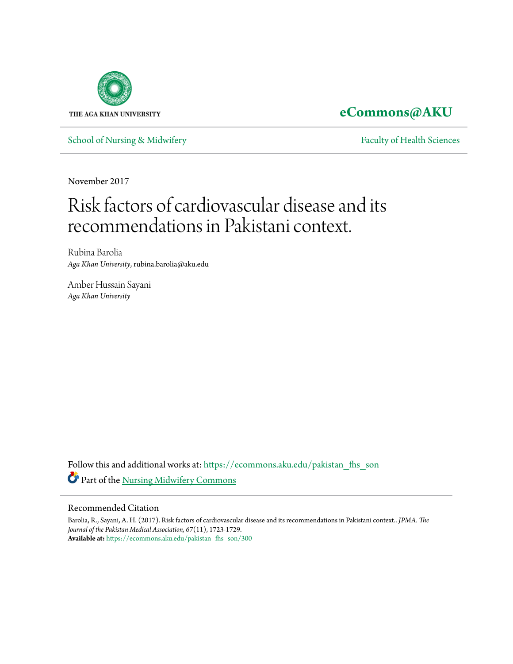

# **[eCommons@AKU](https://ecommons.aku.edu?utm_source=ecommons.aku.edu%2Fpakistan_fhs_son%2F300&utm_medium=PDF&utm_campaign=PDFCoverPages)**

[School of Nursing & Midwifery](https://ecommons.aku.edu/pakistan_fhs_son?utm_source=ecommons.aku.edu%2Fpakistan_fhs_son%2F300&utm_medium=PDF&utm_campaign=PDFCoverPages) [Faculty of Health Sciences](https://ecommons.aku.edu/pakistan_fhs?utm_source=ecommons.aku.edu%2Fpakistan_fhs_son%2F300&utm_medium=PDF&utm_campaign=PDFCoverPages)

November 2017

# Risk factors of cardiovascular disease and its recommendations in Pakistani context.

Rubina Barolia *Aga Khan University*, rubina.barolia@aku.edu

Amber Hussain Sayani *Aga Khan University*

Follow this and additional works at: [https://ecommons.aku.edu/pakistan\\_fhs\\_son](https://ecommons.aku.edu/pakistan_fhs_son?utm_source=ecommons.aku.edu%2Fpakistan_fhs_son%2F300&utm_medium=PDF&utm_campaign=PDFCoverPages) Part of the [Nursing Midwifery Commons](http://network.bepress.com/hgg/discipline/722?utm_source=ecommons.aku.edu%2Fpakistan_fhs_son%2F300&utm_medium=PDF&utm_campaign=PDFCoverPages)

# Recommended Citation

Barolia, R., Sayani, A. H. (2017). Risk factors of cardiovascular disease and its recommendations in Pakistani context.. *JPMA. The Journal of the Pakistan Medical Association, 67*(11), 1723-1729. **Available at:** [https://ecommons.aku.edu/pakistan\\_fhs\\_son/300](https://ecommons.aku.edu/pakistan_fhs_son/300)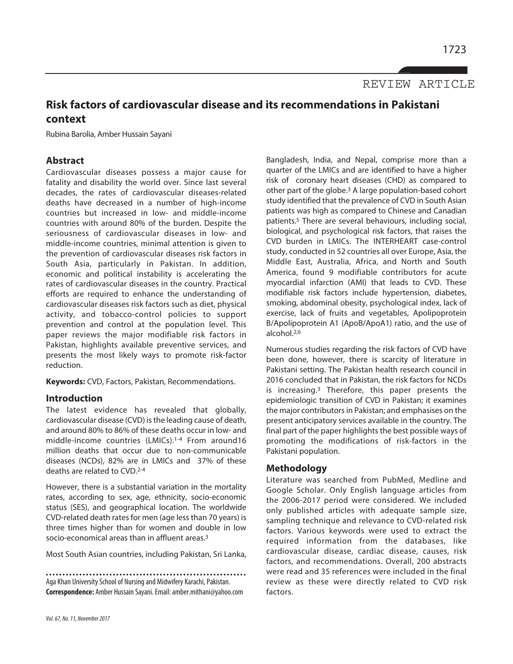REVIEW ARTICLE

# **Risk factors of cardiovascular disease and its recommendations in Pakistani context**

Rubina Barolia, Amber Hussain Sayani

### **Abstract**

Cardiovascular diseases possess a major cause for fatality and disability the world over. Since last several decades, the rates of cardiovascular diseases-related deaths have decreased in a number of high-income countries but increased in low- and middle-income countries with around 80% of the burden. Despite the seriousness of cardiovascular diseases in low- and middle-income countries, minimal attention is given to the prevention of cardiovascular diseases risk factors in South Asia, particularly in Pakistan. In addition, economic and political instability is accelerating the rates of cardiovascular diseases in the country. Practical efforts are required to enhance the understanding of cardiovascular diseases risk factors such as diet, physical activity, and tobacco-control policies to support prevention and control at the population level. This paper reviews the major modifiable risk factors in Pakistan, highlights available preventive services, and presents the most likely ways to promote risk-factor reduction.

**Keywords:** CVD, Factors, Pakistan, Recommendations.

#### **Introduction**

The latest evidence has revealed that globally, cardiovascular disease (CVD) isthe leading cause of death, and around 80% to 86% of these deaths occur in low- and middle-income countries (LMICs). 1-4 From around16 million deaths that occur due to non-communicable diseases (NCDs), 82% are in LMICs and 37% of these deaths are related to CVD. 2-4

However, there is a substantial variation in the mortality rates, according to sex, age, ethnicity, socio-economic status (SES), and geographical location. The worldwide CVD-related death rates for men (age less than 70 years) is three times higher than for women and double in low socio-economical areas than in affluent areas. 3

Most South Asian countries, including Pakistan, Sri Lanka,

Aga Khan University School of Nursing and Midwifery Karachi, Pakistan. **Correspondence:** Amber Hussain Sayani.Email:amber.mithani@yahoo.com Bangladesh, India, and Nepal, comprise more than a quarter of the LMICs and are identified to have a higher risk of coronary heart diseases (CHD) as compared to other part of the globe. <sup>3</sup> A large population-based cohort study identified that the prevalence of CVD in South Asian patients was high as compared to Chinese and Canadian patients. <sup>5</sup> There are several behaviours, including social, biological, and psychological risk factors, that raises the CVD burden in LMICs. The INTERHEART case-control study, conducted in 52 countries all over Europe, Asia, the Middle East, Australia, Africa, and North and South America, found 9 modifiable contributors for acute myocardial infarction (AMI) that leads to CVD. These modifiable risk factors include hypertension, diabetes, smoking, abdominal obesity, psychological index, lack of exercise, lack of fruits and vegetables, Apolipoprotein B/Apolipoprotein A1 (ApoB/ApoA1) ratio, and the use of alcohol. 2,6

Numerous studies regarding the risk factors of CVD have been done, however, there is scarcity of literature in Pakistani setting. The Pakistan health research council in 2016 concluded that in Pakistan, the risk factors for NCDs is increasing. <sup>3</sup> Therefore, this paper presents the epidemiologic transition of CVD in Pakistan; it examines the major contributors in Pakistan; and emphasises on the present anticipatory services available in the country. The final part of the paper highlights the best possible ways of promoting the modifications of risk-factors in the Pakistani population.

#### **Methodology**

Literature was searched from PubMed, Medline and Google Scholar. Only English language articles from the 2006-2017 period were considered. We included only published articles with adequate sample size, sampling technique and relevance to CVD-related risk factors. Various keywords were used to extract the required information from the databases, like cardiovascular disease, cardiac disease, causes, risk factors, and recommendations. Overall, 200 abstracts were read and 35 references were included in the final review as these were directly related to CVD risk factors.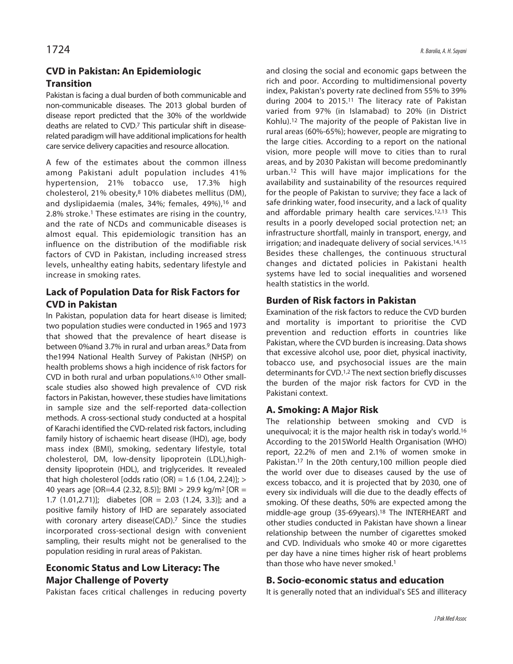# **CVD in Pakistan: An Epidemiologic Transition**

Pakistan is facing a dual burden of both communicable and non-communicable diseases. The 2013 global burden of disease report predicted that the 30% of the worldwide deaths are related to CVD. <sup>7</sup> This particular shift in diseaserelated paradigm will have additional implications for health care service delivery capacities and resource allocation.

A few of the estimates about the common illness among Pakistani adult population includes 41% hypertension, 21% tobacco use, 17.3% high cholesterol, 21% obesity, <sup>8</sup> 10% diabetes mellitus (DM), and dyslipidaemia (males, 34%; females, 49%), <sup>16</sup> and 2.8% stroke. <sup>1</sup> These estimates are rising in the country, and the rate of NCDs and communicable diseases is almost equal. This epidemiologic transition has an influence on the distribution of the modifiable risk factors of CVD in Pakistan, including increased stress levels, unhealthy eating habits, sedentary lifestyle and increase in smoking rates.

# **Lack of Population Data for Risk Factors for CVD in Pakistan**

In Pakistan, population data for heart disease is limited; two population studies were conducted in 1965 and 1973 that showed that the prevalence of heart disease is between 0%and 3.7% in rural and urban areas. <sup>9</sup> Data from the1994 National Health Survey of Pakistan (NHSP) on health problems shows a high incidence of risk factors for CVD in both rural and urban populations. 6,10 Other smallscale studies also showed high prevalence of CVD risk factors in Pakistan, however, these studies have limitations in sample size and the self-reported data-collection methods. A cross-sectional study conducted at a hospital of Karachi identified the CVD-related risk factors, including family history of ischaemic heart disease (IHD), age, body mass index (BMI), smoking, sedentary lifestyle, total cholesterol, DM, low-density lipoprotein (LDL),highdensity lipoprotein (HDL), and triglycerides. It revealed that high cholesterol [odds ratio (OR) =  $1.6$  (1.04, 2.24)]; > 40 years age [OR=4.4 (2.32, 8.5)]; BMI > 29.9 kg/m2 [OR = 1.7 (1.01,2.71)]; diabetes [OR = 2.03 (1.24, 3.3)]; and a positive family history of IHD are separately associated with coronary artery disease(CAD). <sup>7</sup> Since the studies incorporated cross-sectional design with convenient sampling, their results might not be generalised to the population residing in rural areas of Pakistan.

# **Economic Status and Low Literacy: The Major Challenge of Poverty**

Pakistan faces critical challenges in reducing poverty

and closing the social and economic gaps between the rich and poor. According to multidimensional poverty index, Pakistan's poverty rate declined from 55% to 39% during 2004 to 2015.<sup>11</sup> The literacy rate of Pakistan varied from 97% (in Islamabad) to 20% (in District Kohlu). <sup>12</sup> The majority of the people of Pakistan live in rural areas (60%-65%); however, people are migrating to the large cities. According to a report on the national vision, more people will move to cities than to rural areas, and by 2030 Pakistan will become predominantly urban.12 This will have major implications for the availability and sustainability of the resources required for the people of Pakistan to survive; they face a lack of safe drinking water, food insecurity, and a lack of quality and affordable primary health care services. 12,13 This results in a poorly developed social protection net; an infrastructure shortfall, mainly in transport, energy, and irrigation; and inadequate delivery of social services. 14,15 Besides these challenges, the continuous structural changes and dictated policies in Pakistani health systems have led to social inequalities and worsened health statistics in the world.

# **Burden of Risk factors in Pakistan**

Examination of the risk factors to reduce the CVD burden and mortality is important to prioritise the CVD prevention and reduction efforts in countries like Pakistan, where the CVD burden is increasing. Data shows that excessive alcohol use, poor diet, physical inactivity, tobacco use, and psychosocial issues are the main determinants for CVD.<sup>1,2</sup> The next section briefly discusses the burden of the major risk factors for CVD in the Pakistani context.

# **A. Smoking: A Major Risk**

The relationship between smoking and CVD is unequivocal; it is the major health risk in today's world. 16 According to the 2015World Health Organisation (WHO) report, 22.2% of men and 2.1% of women smoke in Pakistan. <sup>17</sup> In the 20th century,100 million people died the world over due to diseases caused by the use of excess tobacco, and it is projected that by 2030, one of every six individuals will die due to the deadly effects of smoking. Of these deaths, 50% are expected among the middle-age group (35-69years). <sup>18</sup> The INTERHEART and other studies conducted in Pakistan have shown a linear relationship between the number of cigarettes smoked and CVD. Individuals who smoke 40 or more cigarettes per day have a nine times higher risk of heart problems than those who have never smoked. 1

# **B. Socio-economic status and education**

It is generally noted that an individual's SES and illiteracy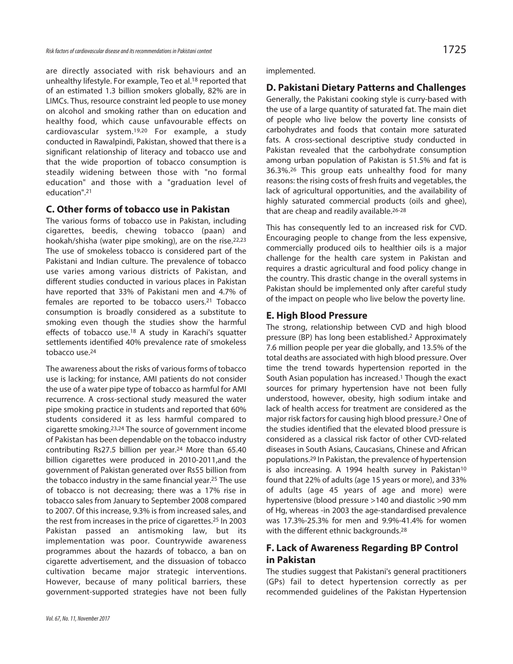are directly associated with risk behaviours and an unhealthy lifestyle. For example, Teo et al. <sup>18</sup> reported that of an estimated 1.3 billion smokers globally, 82% are in LIMCs. Thus, resource constraint led people to use money on alcohol and smoking rather than on education and healthy food, which cause unfavourable effects on cardiovascular system. 19,20 For example, a study conducted in Rawalpindi, Pakistan, showed that there is a significant relationship of literacy and tobacco use and that the wide proportion of tobacco consumption is steadily widening between those with "no formal education" and those with a "graduation level of education". 21

# **C. Other forms of tobacco use in Pakistan**

The various forms of tobacco use in Pakistan, including cigarettes, beedis, chewing tobacco (paan) and hookah/shisha (water pipe smoking), are on the rise. 22,23 The use of smokeless tobacco is considered part of the Pakistani and Indian culture. The prevalence of tobacco use varies among various districts of Pakistan, and different studies conducted in various places in Pakistan have reported that 33% of Pakistani men and 4.7% of females are reported to be tobacco users. <sup>21</sup> Tobacco consumption is broadly considered as a substitute to smoking even though the studies show the harmful effects of tobacco use. <sup>18</sup> A study in Karachi's squatter settlements identified 40% prevalence rate of smokeless tobacco use. 24

The awareness about the risks of various forms of tobacco use is lacking; for instance, AMI patients do not consider the use of a water pipe type of tobacco as harmful for AMI recurrence. A cross-sectional study measured the water pipe smoking practice in students and reported that 60% students considered it as less harmful compared to cigarette smoking. 23,24 The source of government income of Pakistan has been dependable on the tobacco industry contributing Rs27.5 billion per year. <sup>24</sup> More than 65.40 billion cigarettes were produced in 2010-2011,and the government of Pakistan generated over Rs55 billion from the tobacco industry in the same financial year. <sup>25</sup> The use of tobacco is not decreasing; there was a 17% rise in tobacco sales from January to September 2008 compared to 2007. Of this increase, 9.3% is from increased sales, and the rest from increases in the price of cigarettes. <sup>25</sup> In 2003 Pakistan passed an antismoking law, but its implementation was poor. Countrywide awareness programmes about the hazards of tobacco, a ban on cigarette advertisement, and the dissuasion of tobacco cultivation became major strategic interventions. However, because of many political barriers, these government-supported strategies have not been fully implemented.

#### **D. Pakistani Dietary Patterns and Challenges**

Generally, the Pakistani cooking style is curry-based with the use of a large quantity of saturated fat. The main diet of people who live below the poverty line consists of carbohydrates and foods that contain more saturated fats. A cross-sectional descriptive study conducted in Pakistan revealed that the carbohydrate consumption among urban population of Pakistan is 51.5% and fat is 36.3%. 26 This group eats unhealthy food for many reasons: the rising costs of fresh fruits and vegetables, the lack of agricultural opportunities, and the availability of highly saturated commercial products (oils and ghee), that are cheap and readily available.<sup>26-28</sup>

This has consequently led to an increased risk for CVD. Encouraging people to change from the less expensive, commercially produced oils to healthier oils is a major challenge for the health care system in Pakistan and requires a drastic agricultural and food policy change in the country. This drastic change in the overall systems in Pakistan should be implemented only after careful study of the impact on people who live below the poverty line.

### **E. High Blood Pressure**

The strong, relationship between CVD and high blood pressure (BP) has long been established. <sup>2</sup> Approximately 7.6 million people per year die globally, and 13.5% of the total deaths are associated with high blood pressure. Over time the trend towards hypertension reported in the South Asian population has increased. <sup>1</sup> Though the exact sources for primary hypertension have not been fully understood, however, obesity, high sodium intake and lack of health access for treatment are considered as the major risk factors for causing high blood pressure.<sup>2</sup> One of the studies identified that the elevated blood pressure is considered as a classical risk factor of other CVD-related diseases in South Asians, Caucasians, Chinese and African populations. <sup>29</sup> In Pakistan, the prevalence of hypertension is also increasing. A 1994 health survey in Pakistan<sup>10</sup> found that 22% of adults (age 15 years or more), and 33% of adults (age 45 years of age and more) were hypertensive (blood pressure >140 and diastolic >90 mm of Hg, whereas -in 2003 the age-standardised prevalence was 17.3%-25.3% for men and 9.9%-41.4% for women with the different ethnic backgrounds. 28

# **F. Lack of Awareness Regarding BP Control in Pakistan**

The studies suggest that Pakistani's general practitioners (GPs) fail to detect hypertension correctly as per recommended guidelines of the Pakistan Hypertension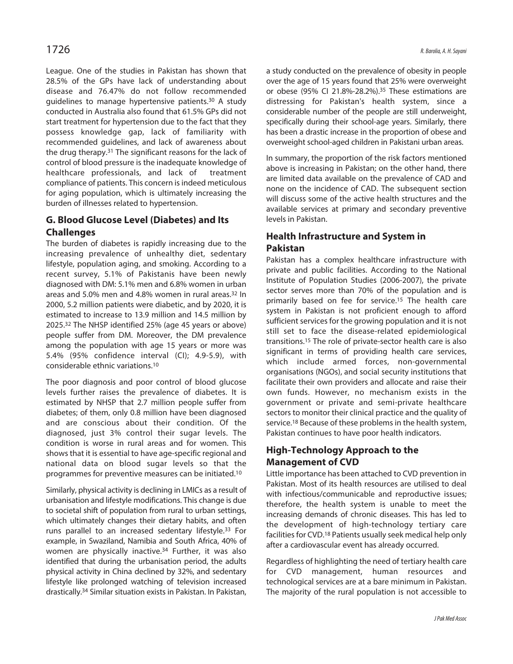League. One of the studies in Pakistan has shown that 28.5% of the GPs have lack of understanding about disease and 76.47% do not follow recommended guidelines to manage hypertensive patients. <sup>30</sup> A study conducted in Australia also found that 61.5% GPs did not start treatment for hypertension due to the fact that they possess knowledge gap, lack of familiarity with recommended guidelines, and lack of awareness about the drug therapy.<sup>31</sup> The significant reasons for the lack of control of blood pressure is the inadequate knowledge of healthcare professionals, and lack of treatment compliance of patients. This concern is indeed meticulous for aging population, which is ultimately increasing the burden of illnesses related to hypertension.

# **G. Blood Glucose Level (Diabetes) and Its Challenges**

The burden of diabetes is rapidly increasing due to the increasing prevalence of unhealthy diet, sedentary lifestyle, population aging, and smoking. According to a recent survey, 5.1% of Pakistanis have been newly diagnosed with DM: 5.1% men and 6.8% women in urban areas and 5.0% men and 4.8% women in rural areas. <sup>32</sup> In 2000, 5.2 million patients were diabetic, and by 2020, it is estimated to increase to 13.9 million and 14.5 million by 2025. <sup>32</sup> The NHSP identified 25% (age 45 years or above) people suffer from DM. Moreover, the DM prevalence among the population with age 15 years or more was 5.4% (95% confidence interval (CI); 4.9-5.9), with considerable ethnic variations. 10

The poor diagnosis and poor control of blood glucose levels further raises the prevalence of diabetes. It is estimated by NHSP that 2.7 million people suffer from diabetes; of them, only 0.8 million have been diagnosed and are conscious about their condition. Of the diagnosed, just 3% control their sugar levels. The condition is worse in rural areas and for women. This shows that it is essential to have age-specific regional and national data on blood sugar levels so that the programmes for preventive measures can be initiated. 10

Similarly, physical activity is declining in LMICs as a result of urbanisation and lifestyle modifications. This change is due to societal shift of population from rural to urban settings, which ultimately changes their dietary habits, and often runs parallel to an increased sedentary lifestyle. <sup>33</sup> For example, in Swaziland, Namibia and South Africa, 40% of women are physically inactive. <sup>34</sup> Further, it was also identified that during the urbanisation period, the adults physical activity in China declined by 32%, and sedentary lifestyle like prolonged watching of television increased drastically. <sup>34</sup> Similar situation exists in Pakistan. In Pakistan,

a study conducted on the prevalence of obesity in people over the age of 15 years found that 25% were overweight or obese (95% CI 21.8%-28.2%). 35 These estimations are distressing for Pakistan's health system, since a considerable number of the people are still underweight, specifically during their school-age years. Similarly, there has been a drastic increase in the proportion of obese and overweight school-aged children in Pakistani urban areas.

In summary, the proportion of the risk factors mentioned above is increasing in Pakistan; on the other hand, there are limited data available on the prevalence of CAD and none on the incidence of CAD. The subsequent section will discuss some of the active health structures and the available services at primary and secondary preventive levels in Pakistan.

# **Health Infrastructure and System in Pakistan**

Pakistan has a complex healthcare infrastructure with private and public facilities. According to the National Institute of Population Studies (2006-2007), the private sector serves more than 70% of the population and is primarily based on fee for service. <sup>15</sup> The health care system in Pakistan is not proficient enough to afford sufficient services for the growing population and it is not still set to face the disease-related epidemiological transitions. <sup>15</sup> The role of private-sector health care is also significant in terms of providing health care services, which include armed forces, non-governmental organisations (NGOs), and social security institutions that facilitate their own providers and allocate and raise their own funds. However, no mechanism exists in the government or private and semi-private healthcare sectors to monitor their clinical practice and the quality of service. <sup>18</sup> Because of these problems in the health system, Pakistan continues to have poor health indicators.

# **High-Technology Approach to the Management of CVD**

Little importance has been attached to CVD prevention in Pakistan. Most of its health resources are utilised to deal with infectious/communicable and reproductive issues; therefore, the health system is unable to meet the increasing demands of chronic diseases. This has led to the development of high-technology tertiary care facilities for CVD.<sup>18</sup> Patients usually seek medical help only after a cardiovascular event has already occurred.

Regardless of highlighting the need of tertiary health care for CVD management, human resources and technological services are at a bare minimum in Pakistan. The majority of the rural population is not accessible to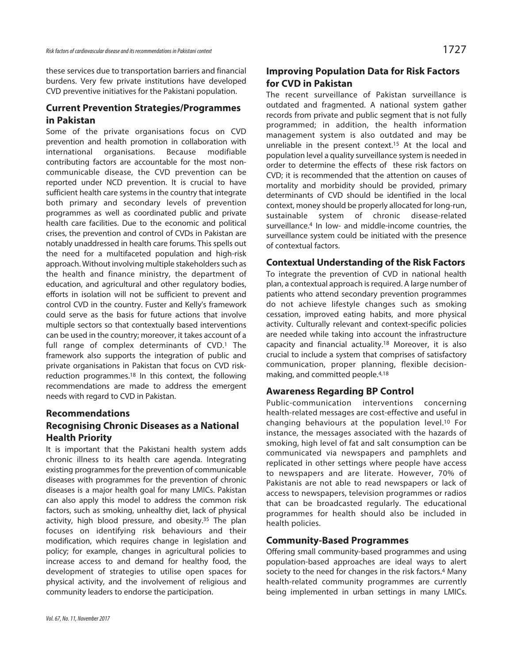these services due to transportation barriers and financial burdens. Very few private institutions have developed CVD preventive initiatives for the Pakistani population.

# **Current Prevention Strategies/Programmes in Pakistan**

Some of the private organisations focus on CVD prevention and health promotion in collaboration with international organisations. Because modifiable contributing factors are accountable for the most noncommunicable disease, the CVD prevention can be reported under NCD prevention. It is crucial to have sufficient health care systems in the country that integrate both primary and secondary levels of prevention programmes as well as coordinated public and private health care facilities. Due to the economic and political crises, the prevention and control of CVDs in Pakistan are notably unaddressed in health care forums. This spells out the need for a multifaceted population and high-risk approach. Without involving multiple stakeholders such as the health and finance ministry, the department of education, and agricultural and other regulatory bodies, efforts in isolation will not be sufficient to prevent and control CVD in the country. Fuster and Kelly's framework could serve as the basis for future actions that involve multiple sectors so that contextually based interventions can be used in the country; moreover, it takes account of a full range of complex determinants of CVD. <sup>1</sup> The framework also supports the integration of public and private organisations in Pakistan that focus on CVD riskreduction programmes. <sup>18</sup> In this context, the following recommendations are made to address the emergent needs with regard to CVD in Pakistan.

# **Recommendations Recognising Chronic Diseases as a National Health Priority**

It is important that the Pakistani health system adds chronic illness to its health care agenda. Integrating existing programmes for the prevention of communicable diseases with programmes for the prevention of chronic diseases is a major health goal for many LMICs. Pakistan can also apply this model to address the common risk factors, such as smoking, unhealthy diet, lack of physical activity, high blood pressure, and obesity.<sup>35</sup> The plan focuses on identifying risk behaviours and their modification, which requires change in legislation and policy; for example, changes in agricultural policies to increase access to and demand for healthy food, the development of strategies to utilise open spaces for physical activity, and the involvement of religious and community leaders to endorse the participation.

# **Improving Population Data for Risk Factors for CVD in Pakistan**

The recent surveillance of Pakistan surveillance is outdated and fragmented. A national system gather records from private and public segment that is not fully programmed; in addition, the health information management system is also outdated and may be unreliable in the present context. 15 At the local and population level a quality surveillance system is needed in order to determine the effects of these risk factors on CVD; it is recommended that the attention on causes of mortality and morbidity should be provided, primary determinants of CVD should be identified in the local context, money should be properly allocated for long-run, sustainable system of chronic disease-related surveillance. <sup>4</sup> In low- and middle-income countries, the surveillance system could be initiated with the presence of contextual factors.

# **Contextual Understanding of the Risk Factors**

To integrate the prevention of CVD in national health plan, a contextual approach is required. A large number of patients who attend secondary prevention programmes do not achieve lifestyle changes such as smoking cessation, improved eating habits, and more physical activity. Culturally relevant and context-specific policies are needed while taking into account the infrastructure capacity and financial actuality. <sup>18</sup> Moreover, it is also crucial to include a system that comprises of satisfactory communication, proper planning, flexible decisionmaking, and committed people. 4,18

# **Awareness Regarding BP Control**

Public-communication interventions concerning health-related messages are cost-effective and useful in changing behaviours at the population level. <sup>10</sup> For instance, the messages associated with the hazards of smoking, high level of fat and salt consumption can be communicated via newspapers and pamphlets and replicated in other settings where people have access to newspapers and are literate. However, 70% of Pakistanis are not able to read newspapers or lack of access to newspapers, television programmes or radios that can be broadcasted regularly. The educational programmes for health should also be included in health policies.

# **Community-Based Programmes**

Offering small community-based programmes and using population-based approaches are ideal ways to alert society to the need for changes in the risk factors. <sup>4</sup> Many health-related community programmes are currently being implemented in urban settings in many LMICs.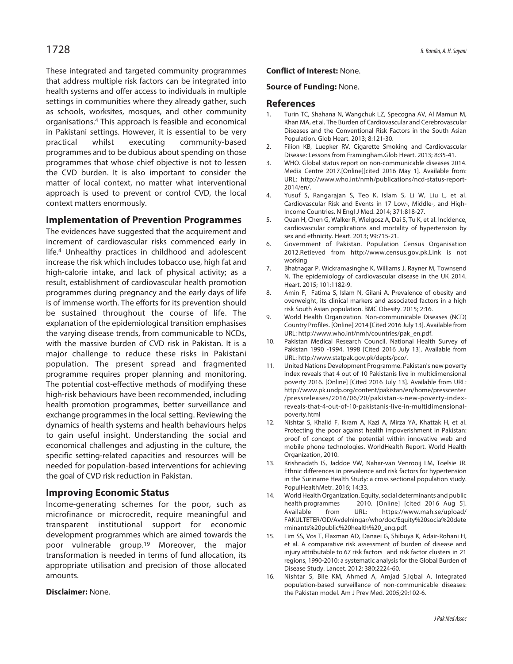These integrated and targeted community programmes that address multiple risk factors can be integrated into health systems and offer access to individuals in multiple settings in communities where they already gather, such as schools, worksites, mosques, and other community organisations. <sup>4</sup> This approach is feasible and economical in Pakistani settings. However, it is essential to be very practical whilst executing community-based programmes and to be dubious about spending on those programmes that whose chief objective is not to lessen the CVD burden. It is also important to consider the matter of local context, no matter what interventional approach is used to prevent or control CVD, the local context matters enormously.

#### **Implementation of Prevention Programmes**

The evidences have suggested that the acquirement and increment of cardiovascular risks commenced early in life. <sup>4</sup> Unhealthy practices in childhood and adolescent increase the risk which includes tobacco use, high fat and high-calorie intake, and lack of physical activity; as a result, establishment of cardiovascular health promotion programmes during pregnancy and the early days of life is of immense worth. The efforts for its prevention should be sustained throughout the course of life. The explanation of the epidemiological transition emphasises the varying disease trends, from communicable to NCDs, with the massive burden of CVD risk in Pakistan. It is a major challenge to reduce these risks in Pakistani population. The present spread and fragmented programme requires proper planning and monitoring. The potential cost-effective methods of modifying these high-risk behaviours have been recommended, including health promotion programmes, better surveillance and exchange programmes in the local setting. Reviewing the dynamics of health systems and health behaviours helps to gain useful insight. Understanding the social and economical challenges and adjusting in the culture, the specific setting-related capacities and resources will be needed for population-based interventions for achieving the goal of CVD risk reduction in Pakistan.

# **Improving Economic Status**

Income-generating schemes for the poor, such as microfinance or microcredit, require meaningful and transparent institutional support for economic development programmes which are aimed towards the poor vulnerable group. <sup>19</sup> Moreover, the major transformation is needed in terms of fund allocation, its appropriate utilisation and precision of those allocated amounts.

#### **Disclaimer:** None.

#### **Conflict of Interest:** None.

#### **Source of Funding:** None.

#### **References**

- Turin TC, Shahana N, Wangchuk LZ, Specogna AV, Al Mamun M, Khan MA, et al. The Burden of Cardiovascular and Cerebrovascular Diseases and the Conventional Risk Factors in the South Asian Population. Glob Heart. 2013; 8:121-30.
- 2. Filion KB, Luepker RV. Cigarette Smoking and Cardiovascular Disease: Lessons from Framingham.Glob Heart. 2013; 8:35-41.
- 3. WHO. Global status report on non-communicable diseases 2014. Media Centre 2017.[Online][cited 2016 May 1]. Available from: URL: http://www.who.int/nmh/publications/ncd-status-report-2014/en/.
- 4. Yusuf S, Rangarajan S, Teo K, Islam S, Li W, Liu L, et al. Cardiovascular Risk and Events in 17 Low-, Middle-, and High-Income Countries. N Engl J Med. 2014; 371:818-27.
- 5. Quan H, Chen G, Walker R, Wielgosz A, Dai S, Tu K, et al. Incidence, cardiovascular complications and mortality of hypertension by sex and ethnicity. Heart. 2013; 99:715-21.
- 6. Government of Pakistan. Population Census Organisation 2012.Retieved from http://www.census.gov.pk.Link is not working
- 7. Bhatnagar P, Wickramasinghe K, Williams J, Rayner M, Townsend N. The epidemiology of cardiovascular disease in the UK 2014. Heart. 2015; 101:1182-9.
- 8. Amin F, Fatima S, Islam N, Gilani A. Prevalence of obesity and overweight, its clinical markers and associated factors in a high risk South Asian population. BMC Obesity. 2015; 2:16.
- 9. World Health Organization. Non-communicable Diseases (NCD) Country Profiles. [Online] 2014 [Cited 2016 July 13]. Available from URL: http://www.who.int/nmh/countries/pak\_en.pdf.
- 10. Pakistan Medical Research Council. National Health Survey of Pakistan 1990 -1994. 1998 [Cited 2016 July 13]. Available from URL: http://www.statpak.gov.pk/depts/pco/.
- 11. United Nations Development Programme. Pakistan's new poverty index reveals that 4 out of 10 Pakistanis live in multidimensional poverty 2016. [Online] [Cited 2016 July 13]. Available from URL: http://www.pk.undp.org/content/pakistan/en/home/presscenter /pressreleases/2016/06/20/pakistan-s-new-poverty-indexreveals-that-4-out-of-10-pakistanis-live-in-multidimensionalpoverty.html
- 12. Nishtar S, Khalid F, Ikram A, Kazi A, Mirza YA, Khattak H, et al. Protecting the poor against health impoverishment in Pakistan: proof of concept of the potential within innovative web and mobile phone technologies. WorldHealth Report. World Health Organization, 2010.
- 13. Krishnadath IS, Jaddoe VW, Nahar-van Venrooij LM, Toelsie JR. Ethnic differences in prevalence and risk factors for hypertension in the Suriname Health Study: a cross sectional population study. PopulHealthMetr. 2016; 14:33.
- 14. World Health Organization. Equity, social determinants and public health programmes 2010. [Online] [cited 2016 Aug 5]. Available from URL: https://www.mah.se/upload/ FAKULTETER/OD/Avdelningar/who/doc/Equity%20socia%20dete rminants%20public%20health%20\_eng.pdf.
- 15. Lim SS, Vos T, Flaxman AD, Danaei G, Shibuya K, Adair-Rohani H, et al. A comparative risk assessment of burden of disease and injury attributable to 67 risk factors and risk factor clusters in 21 regions, 1990-2010: a systematic analysis for the Global Burden of Disease Study. Lancet. 2012; 380:2224-60.
- 16. Nishtar S, Bile KM, Ahmed A, Amjad S,Iqbal A. Integrated population-based surveillance of non-communicable diseases: the Pakistan model. Am J Prev Med. 2005;29:102-6.